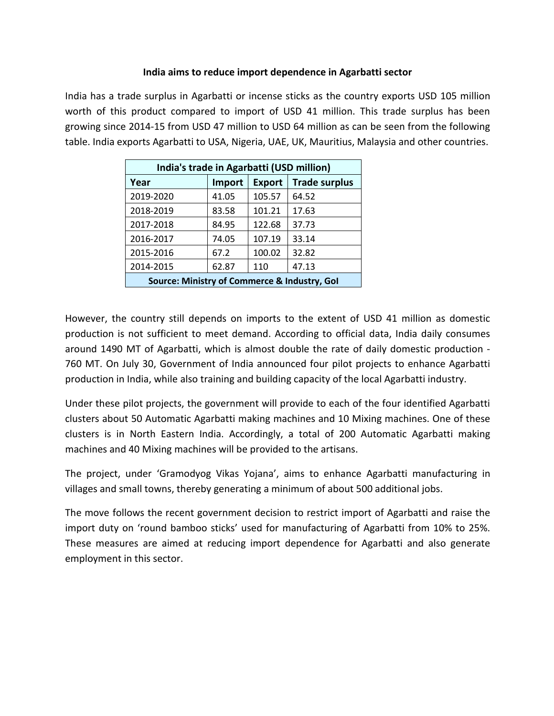## **India aims to reduce import dependence in Agarbatti sector**

India has a trade surplus in Agarbatti or incense sticks as the country exports USD 105 million worth of this product compared to import of USD 41 million. This trade surplus has been growing since 2014-15 from USD 47 million to USD 64 million as can be seen from the following table. India exports Agarbatti to USA, Nigeria, UAE, UK, Mauritius, Malaysia and other countries.

| India's trade in Agarbatti (USD million)     |        |               |                      |
|----------------------------------------------|--------|---------------|----------------------|
| Year                                         | Import | <b>Export</b> | <b>Trade surplus</b> |
| 2019-2020                                    | 41.05  | 105.57        | 64.52                |
| 2018-2019                                    | 83.58  | 101.21        | 17.63                |
| 2017-2018                                    | 84.95  | 122.68        | 37.73                |
| 2016-2017                                    | 74.05  | 107.19        | 33.14                |
| 2015-2016                                    | 67.2   | 100.02        | 32.82                |
| 2014-2015                                    | 62.87  | 110           | 47.13                |
| Source: Ministry of Commerce & Industry, Gol |        |               |                      |

However, the country still depends on imports to the extent of USD 41 million as domestic production is not sufficient to meet demand. According to official data, India daily consumes around 1490 MT of Agarbatti, which is almost double the rate of daily domestic production - 760 MT. On July 30, Government of India announced four pilot projects to enhance Agarbatti production in India, while also training and building capacity of the local Agarbatti industry.

Under these pilot projects, the government will provide to each of the four identified Agarbatti clusters about 50 Automatic Agarbatti making machines and 10 Mixing machines. One of these clusters is in North Eastern India. Accordingly, a total of 200 Automatic Agarbatti making machines and 40 Mixing machines will be provided to the artisans.<br>The project, under 'Gramodyog Vikas Yojana', aims to enhance Agarbatti manufacturing in

villages and small towns, thereby generating a minimum of about 500 additional jobs.

The move follows the recent government decision to restrict import of Agarbatti and raise the import duty on 'round bamboo sticks' used for manufacturing of Agarbatti from 10% to 25%. These measures are aimed at reducing import dependence for Agarbatti and also generate employment in this sector.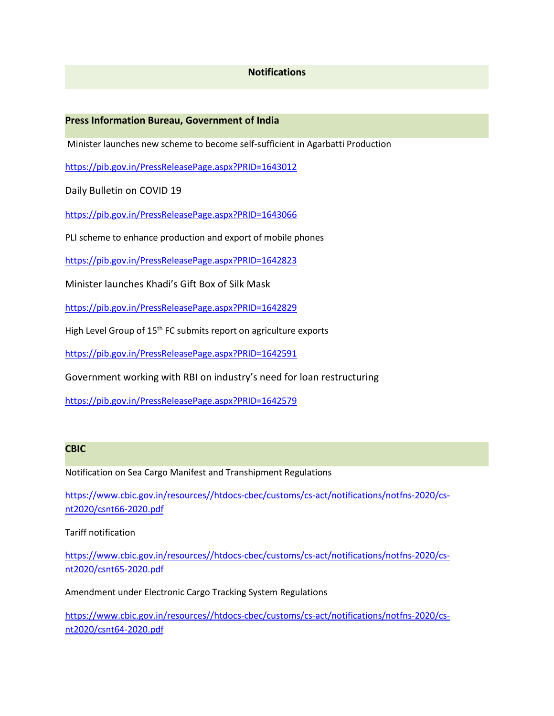## **Notifications**

#### **Press Information Bureau, Government of India**

Minister launches new scheme to become self-sufficient in Agarbatti Production

<https://pib.gov.in/PressReleasePage.aspx?PRID=1643012>

Daily Bulletin on COVID 19

<https://pib.gov.in/PressReleasePage.aspx?PRID=1643066>

PLI scheme to enhance production and export of mobile phones

<https://pib.gov.in/PressReleasePage.aspx?PRID=1642823>

Minister launches Khadi's Gift Box of Silk Mask

<https://pib.gov.in/PressReleasePage.aspx?PRID=1642829>

High Level Group of 15<sup>th</sup> FC submits report on agriculture exports

<https://pib.gov.in/PressReleasePage.aspx?PRID=1642591>

Government working with RBI on industry's need for loan restructuring

<https://pib.gov.in/PressReleasePage.aspx?PRID=1642579>

### **CBIC**

Notification on Sea Cargo Manifest and Transhipment Regulations

[https://www.cbic.gov.in/resources//htdocs-cbec/customs/cs-act/notifications/notfns-2020/cs](https://www.cbic.gov.in/resources/htdocs-cbec/customs/cs-act/notifications/notfns-2020/cs-nt2020/csnt66-2020.pdf) nt2020/csnt66-2020.pdf

Tariff notification

[https://www.cbic.gov.in/resources//htdocs-cbec/customs/cs-act/notifications/notfns-2020/cs](https://www.cbic.gov.in/resources/htdocs-cbec/customs/cs-act/notifications/notfns-2020/cs-nt2020/csnt65-2020.pdf) nt2020/csnt65-2020.pdf

Amendment under Electronic Cargo Tracking System Regulations

[https://www.cbic.gov.in/resources//htdocs-cbec/customs/cs-act/notifications/notfns-2020/cs](https://www.cbic.gov.in/resources/htdocs-cbec/customs/cs-act/notifications/notfns-2020/cs-nt2020/csnt64-2020.pdf) nt2020/csnt64-2020.pdf